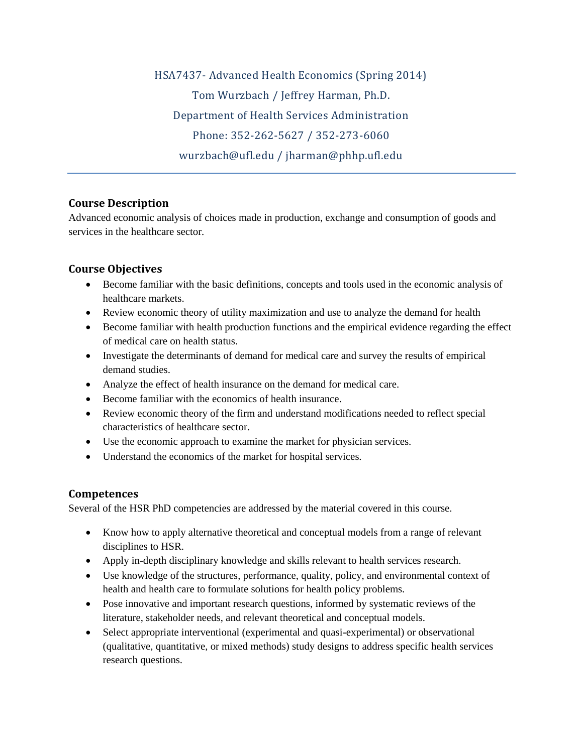HSA7437- Advanced Health Economics (Spring 2014) Tom Wurzbach / Jeffrey Harman, Ph.D. Department of Health Services Administration Phone: 352-262-5627 / 352-273-6060 wurzbach@ufl.edu / jharman@phhp.ufl.edu

## **Course Description**

Advanced economic analysis of choices made in production, exchange and consumption of goods and services in the healthcare sector.

# **Course Objectives**

- Become familiar with the basic definitions, concepts and tools used in the economic analysis of healthcare markets.
- Review economic theory of utility maximization and use to analyze the demand for health
- Become familiar with health production functions and the empirical evidence regarding the effect of medical care on health status.
- Investigate the determinants of demand for medical care and survey the results of empirical demand studies.
- Analyze the effect of health insurance on the demand for medical care.
- Become familiar with the economics of health insurance.
- Review economic theory of the firm and understand modifications needed to reflect special characteristics of healthcare sector.
- Use the economic approach to examine the market for physician services.
- Understand the economics of the market for hospital services.

# **Competences**

Several of the HSR PhD competencies are addressed by the material covered in this course.

- Know how to apply alternative theoretical and conceptual models from a range of relevant disciplines to HSR.
- Apply in-depth disciplinary knowledge and skills relevant to health services research.
- Use knowledge of the structures, performance, quality, policy, and environmental context of health and health care to formulate solutions for health policy problems.
- Pose innovative and important research questions, informed by systematic reviews of the literature, stakeholder needs, and relevant theoretical and conceptual models.
- Select appropriate interventional (experimental and quasi-experimental) or observational (qualitative, quantitative, or mixed methods) study designs to address specific health services research questions.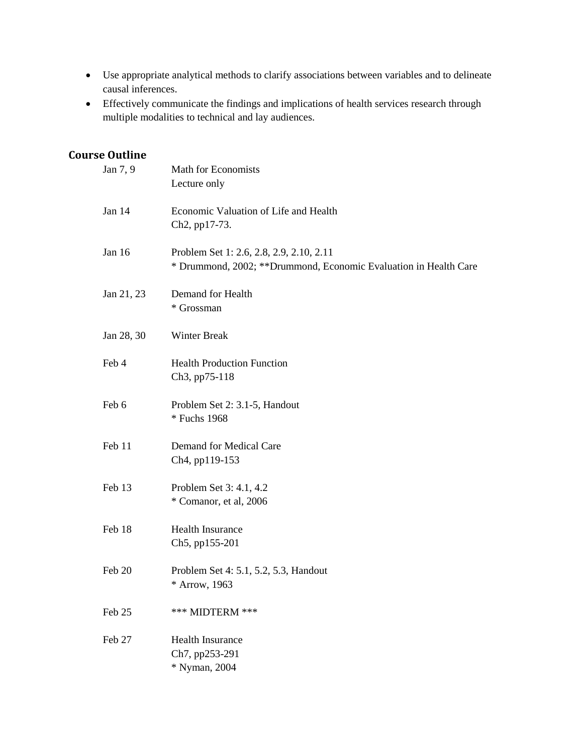- Use appropriate analytical methods to clarify associations between variables and to delineate causal inferences.
- Effectively communicate the findings and implications of health services research through multiple modalities to technical and lay audiences.

# **Course Outline**

| Jan 7, 9   | Math for Economists<br>Lecture only                                                                           |
|------------|---------------------------------------------------------------------------------------------------------------|
| Jan 14     | Economic Valuation of Life and Health<br>Ch <sub>2</sub> , pp17-73.                                           |
| Jan 16     | Problem Set 1: 2.6, 2.8, 2.9, 2.10, 2.11<br>* Drummond, 2002; ** Drummond, Economic Evaluation in Health Care |
| Jan 21, 23 | Demand for Health<br>* Grossman                                                                               |
| Jan 28, 30 | <b>Winter Break</b>                                                                                           |
| Feb 4      | <b>Health Production Function</b><br>Ch3, pp75-118                                                            |
| Feb 6      | Problem Set 2: 3.1-5, Handout<br>* Fuchs 1968                                                                 |
| Feb 11     | Demand for Medical Care<br>Ch4, pp119-153                                                                     |
| Feb 13     | Problem Set 3: 4.1, 4.2<br>* Comanor, et al, 2006                                                             |
| Feb 18     | Health Insurance<br>Ch5, pp155-201                                                                            |
| Feb 20     | Problem Set 4: 5.1, 5.2, 5.3, Handout<br>* Arrow, 1963                                                        |
| Feb 25     | *** MIDTERM ***                                                                                               |
| Feb 27     | <b>Health Insurance</b><br>Ch7, pp253-291<br>* Nyman, 2004                                                    |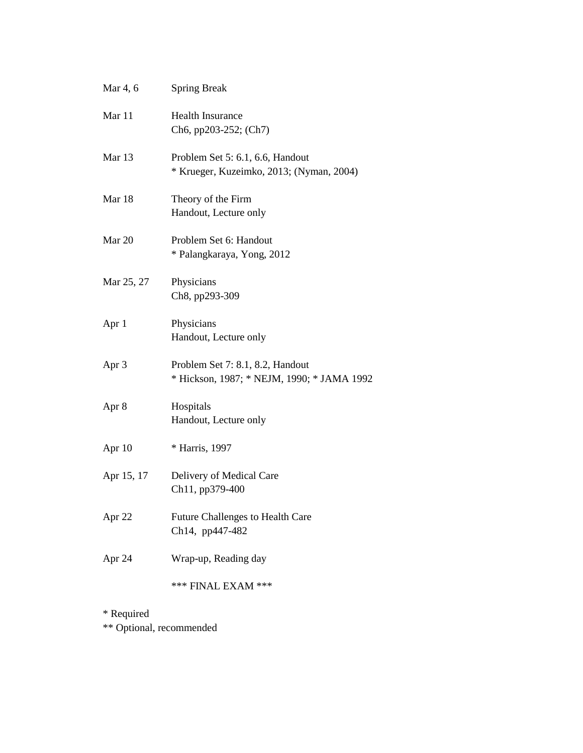| Mar 4, 6   | <b>Spring Break</b>                                                            |
|------------|--------------------------------------------------------------------------------|
| Mar 11     | <b>Health Insurance</b><br>Ch6, pp203-252; (Ch7)                               |
| Mar 13     | Problem Set 5: 6.1, 6.6, Handout<br>* Krueger, Kuzeimko, 2013; (Nyman, 2004)   |
| Mar 18     | Theory of the Firm<br>Handout, Lecture only                                    |
| Mar 20     | Problem Set 6: Handout<br>* Palangkaraya, Yong, 2012                           |
| Mar 25, 27 | Physicians<br>Ch8, pp293-309                                                   |
| Apr 1      | Physicians<br>Handout, Lecture only                                            |
| Apr 3      | Problem Set 7: 8.1, 8.2, Handout<br>* Hickson, 1987; * NEJM, 1990; * JAMA 1992 |
| Apr 8      | Hospitals<br>Handout, Lecture only                                             |
| Apr 10     | * Harris, 1997                                                                 |
| Apr 15, 17 | Delivery of Medical Care<br>Ch11, pp379-400                                    |
| Apr 22     | <b>Future Challenges to Health Care</b><br>Ch14, pp447-482                     |
| Apr 24     | Wrap-up, Reading day                                                           |
|            | *** FINAL EXAM ***                                                             |
| * Required |                                                                                |

\*\* Optional, recommended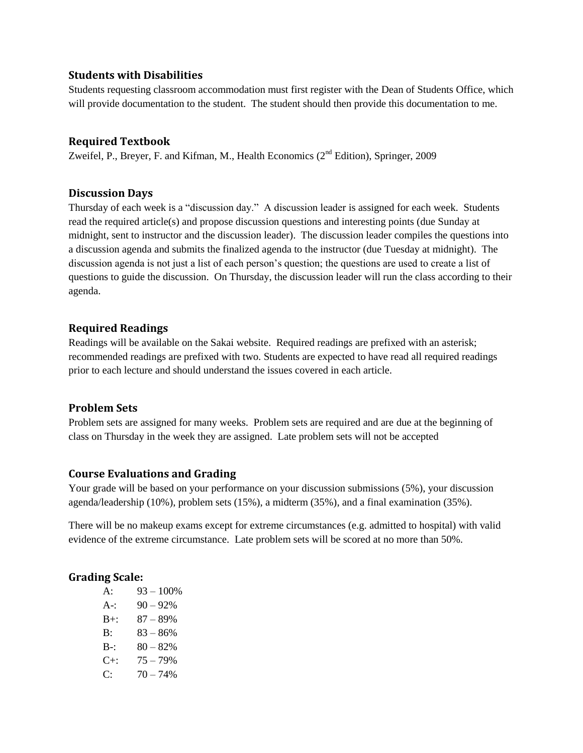## **Students with Disabilities**

Students requesting classroom accommodation must first register with the Dean of Students Office, which will provide documentation to the student. The student should then provide this documentation to me.

### **Required Textbook**

Zweifel, P., Breyer, F. and Kifman, M., Health Economics  $(2<sup>nd</sup> Edition)$ , Springer, 2009

### **Discussion Days**

Thursday of each week is a "discussion day." A discussion leader is assigned for each week. Students read the required article(s) and propose discussion questions and interesting points (due Sunday at midnight, sent to instructor and the discussion leader). The discussion leader compiles the questions into a discussion agenda and submits the finalized agenda to the instructor (due Tuesday at midnight). The discussion agenda is not just a list of each person's question; the questions are used to create a list of questions to guide the discussion. On Thursday, the discussion leader will run the class according to their agenda.

## **Required Readings**

Readings will be available on the Sakai website. Required readings are prefixed with an asterisk; recommended readings are prefixed with two. Students are expected to have read all required readings prior to each lecture and should understand the issues covered in each article.

### **Problem Sets**

Problem sets are assigned for many weeks. Problem sets are required and are due at the beginning of class on Thursday in the week they are assigned. Late problem sets will not be accepted

#### **Course Evaluations and Grading**

Your grade will be based on your performance on your discussion submissions (5%), your discussion agenda/leadership (10%), problem sets (15%), a midterm (35%), and a final examination (35%).

There will be no makeup exams except for extreme circumstances (e.g. admitted to hospital) with valid evidence of the extreme circumstance. Late problem sets will be scored at no more than 50%.

#### **Grading Scale:**

| $A$ :   | $93 - 100\%$ |
|---------|--------------|
| $A - 1$ | $90 - 92%$   |
| $B+$ :  | $87 - 89%$   |
| B:      | $83 - 86%$   |
| $B-$    | $80 - 82%$   |
| $C+$    | $75 - 79%$   |
| C·      | $70 - 74%$   |